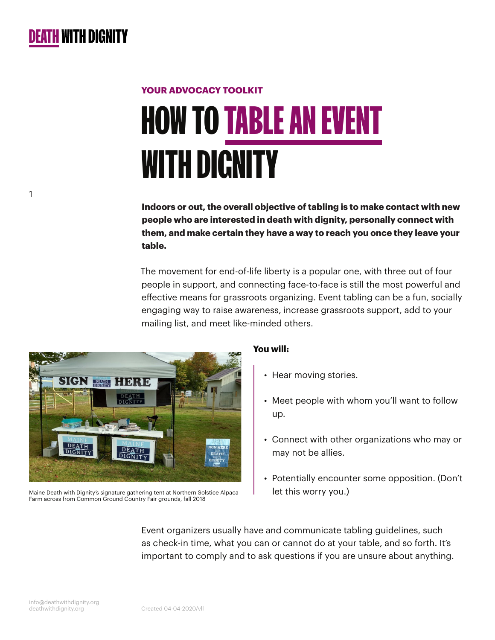1

# **HOW TO TABLE AN EVEN** WITH DIGNITY **YOUR ADVOCACY TOOLKIT**

**Indoors or out, the overall objective of tabling is to make contact with new people who are interested in death with dignity, personally connect with them, and make certain they have a way to reach you once they leave your table.**

The movement for end-of-life liberty is a popular one, with three out of four people in support, and connecting face-to-face is still the most powerful and effective means for grassroots organizing. Event tabling can be a fun, socially engaging way to raise awareness, increase grassroots support, add to your mailing list, and meet like-minded others.



Maine Death with Dignity's signature gathering tent at Northern Solstice Alpaca Farm across from Common Ground Country Fair grounds, fall 2018

#### **You will:**

- Hear moving stories.
- Meet people with whom you'll want to follow up.
- Connect with other organizations who may or may not be allies.
- Potentially encounter some opposition. (Don't let this worry you.)

Event organizers usually have and communicate tabling guidelines, such as check-in time, what you can or cannot do at your table, and so forth. It's important to comply and to ask questions if you are unsure about anything.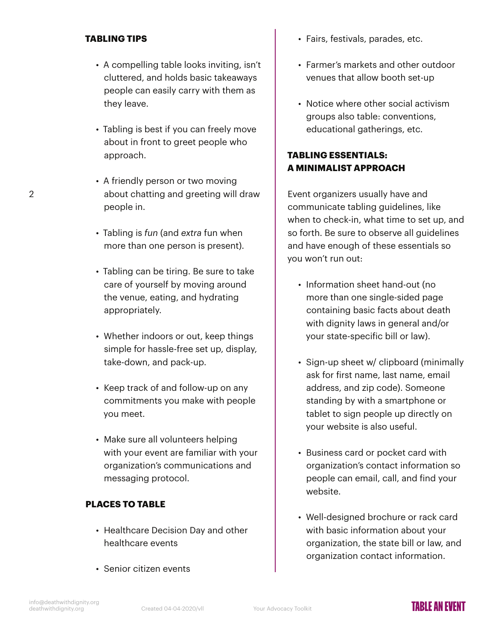#### **TABLING TIPS**

- A compelling table looks inviting, isn't cluttered, and holds basic takeaways people can easily carry with them as they leave.
- Tabling is best if you can freely move about in front to greet people who approach.
- A friendly person or two moving about chatting and greeting will draw people in.
- Tabling is *fun* (and *extra* fun when more than one person is present).
- Tabling can be tiring. Be sure to take care of yourself by moving around the venue, eating, and hydrating appropriately.
- Whether indoors or out, keep things simple for hassle-free set up, display, take-down, and pack-up.
- Keep track of and follow-up on any commitments you make with people you meet.
- Make sure all volunteers helping with your event are familiar with your organization's communications and messaging protocol.

#### **PLACES TO TABLE**

- Healthcare Decision Day and other healthcare events
- Senior citizen events
- Fairs, festivals, parades, etc.
- Farmer's markets and other outdoor venues that allow booth set-up
- Notice where other social activism groups also table: conventions, educational gatherings, etc.

### **TABLING ESSENTIALS: A MINIMALIST APPROACH**

Event organizers usually have and communicate tabling guidelines, like when to check-in, what time to set up, and so forth. Be sure to observe all quidelines and have enough of these essentials so you won't run out:

- Information sheet hand-out (no more than one single-sided page containing basic facts about death with dignity laws in general and/or your state-specific bill or law).
- Sign-up sheet w/ clipboard (minimally ask for first name, last name, email address, and zip code). Someone standing by with a smartphone or tablet to sign people up directly on your website is also useful.
- Business card or pocket card with organization's contact information so people can email, call, and find your website.
- Well-designed brochure or rack card with basic information about your organization, the state bill or law, and organization contact information.

 $\mathfrak{D}$ 

## **TARIF AN FVFNT**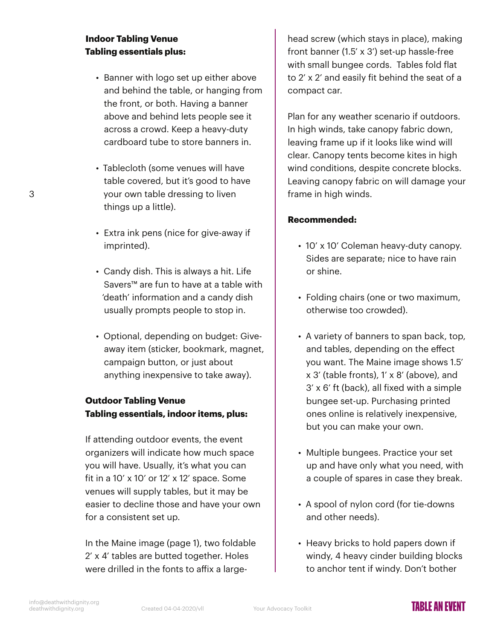#### **Indoor Tabling Venue Tabling essentials plus:**

- Banner with logo set up either above and behind the table, or hanging from the front, or both. Having a banner above and behind lets people see it across a crowd. Keep a heavy-duty cardboard tube to store banners in.
- Tablecloth (some venues will have table covered, but it's good to have your own table dressing to liven things up a little).
- Extra ink pens (nice for give-away if imprinted).
- Candy dish. This is always a hit. Life Savers™ are fun to have at a table with 'death' information and a candy dish usually prompts people to stop in.
- Optional, depending on budget: Giveaway item (sticker, bookmark, magnet, campaign button, or just about anything inexpensive to take away).

#### **Outdoor Tabling Venue Tabling essentials, indoor items, plus:**

If attending outdoor events, the event organizers will indicate how much space you will have. Usually, it's what you can fit in a 10'  $\times$  10' or 12'  $\times$  12' space. Some venues will supply tables, but it may be easier to decline those and have your own for a consistent set up.

In the Maine image (page 1), two foldable 2' x 4' tables are butted together. Holes were drilled in the fonts to affix a large-

head screw (which stays in place), making front banner (1.5' x 3') set-up hassle-free with small bungee cords. Tables fold flat to 2' x 2' and easily fit behind the seat of a compact car.

Plan for any weather scenario if outdoors. In high winds, take canopy fabric down, leaving frame up if it looks like wind will clear. Canopy tents become kites in high wind conditions, despite concrete blocks. Leaving canopy fabric on will damage your frame in high winds.

#### **Recommended:**

- 10' x 10' Coleman heavy-duty canopy. Sides are separate; nice to have rain or shine.
- Folding chairs (one or two maximum, otherwise too crowded).
- A variety of banners to span back, top, and tables, depending on the effect you want. The Maine image shows 1.5' x 3' (table fronts), 1' x 8' (above), and 3' x 6' ft (back), all fixed with a simple bungee set-up. Purchasing printed ones online is relatively inexpensive, but you can make your own.
- Multiple bungees. Practice your set up and have only what you need, with a couple of spares in case they break.
- A spool of nylon cord (for tie-downs and other needs).
- Heavy bricks to hold papers down if windy, 4 heavy cinder building blocks to anchor tent if windy. Don't bother

3

## TARI F AN FVFNT